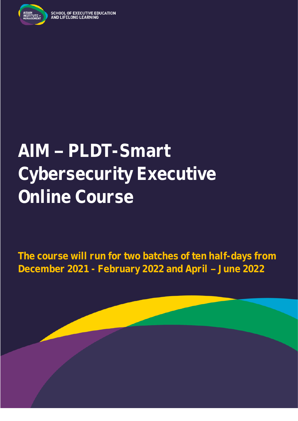

# AIM - PLDT-Smart **Cybersecurity Executive Online Course**

**The course will run for two batches of ten half-days from December 2021 - February 2022 and April June 2022**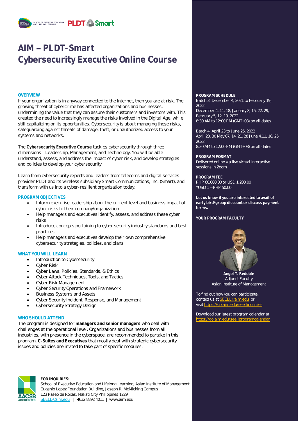

### **AIM PLDT-Smart Cybersecurity Executive Online Course**

If your organization is in anyway connected to the Internet, then you are at risk. The growing threat of cybercrime has affected organizations and businesses, undermining the value that they can assure their customers and investors with. This created the need to increasingly manage the risks involved in the Digital Age, while still capitalizing on its opportunities. Cybersecurity is about managing these risks, safeguarding against threats of damage, theft, or unauthorized access to your systems and networks.

The **Cybersecurity Executive Course** tackles cybersecurity through three dimensions - Leadership, Management, and Technology. You will be able understand, assess, and address the impact of cyber risk, and develop strategies and policies to develop your cybersecurity.

Learn from cybersecurity experts and leaders from telecoms and digital services provider PLDT and its wireless subsidiary Smart Communications, Inc. (Smart), and transform with us into a cyber-resilient organization today.

### **PROGRAM OBJECTIVES**

- Inform executive leadership about the current level and business impact of cyber risks to their company/organization
- Help managers and executives identify, assess, and address these cyber risks
- Introduce concepts pertaining to cyber security industry standards and best practices
- Help managers and executives develop their own comprehensive cybersecurity strategies, policies, and plans

### **WHAT YOU WILL LEARN**

- Introduction to Cybersecurity
- Cyber Risk
- Cyber Laws, Policies, Standards, & Ethics
- Cyber Attack Techniques, Tools, and Tactics
- Cyber Risk Management
- Cyber Security Operations and Framework
- Business Systems and Assets
- Cyber Security Incident, Response, and Management
- Cybersecurity Strategy Design

### **WHO SHOULD ATTEND**

The program is designed for **managers and senior managers** who deal with challenges at the operational level. Organizations and businesses from all industries, with presence in the cyberspace, are recommended to partake in this program. **C-Suites and Executives** that mostly deal with strategic cybersecurity issues and policies are invited to take part of specific modules.



**FOR INQUIRIES:**

School of Executive Education and Lifelong Learning, Asian Institute of Management Eugenio Lopez Foundation Building, Joseph R. McMicking Campus 123 Paseo de Roxas, Makati City Philippines 1229 [SEELL@aim.edu](mailto:SEELL@aim.edu) | +632 8892 4011 | www.aim.edu

**OVERVIEW PROGRAM SCHEDULE** Batch 3: December 4, 2021 to February 19, 2022 December 4, 11, 18, January 8, 15, 22, 29, February 5, 12, 19, 2022

8:30 AM to 12:00 PM (GMT+08) on all dates

Batch 4: April 23 to June 25, 2022 April 23, 30 May 07, 14, 21, 28 June 4,11, 18, 25, 2022 8:30 AM to 12:00 PM (GMT+08) on all dates

**PROGRAM FORMAT** Delivered online via live virtual interactive sessions in Zoom

**PROGRAM FEE** PHP 60,000.00 or USD 1,200.00  $*$ USD 1 = PHP 50.00

**Let us know if you are interested to avail of early bird/group discount or discuss payment terms.**

#### **YOUR PROGRAM FACULTY**



**Angel T. Redoble** Adjunct Faculty Asian Institute of Management

To find out how you can participate, contact us a[t SEELL@aim.edu](mailto:SEELL@aim.edu) or visit<https://go.aim.edu/seellinquiries>

Download our latest program calendar at https://go.aim.edu/seellprogramcalend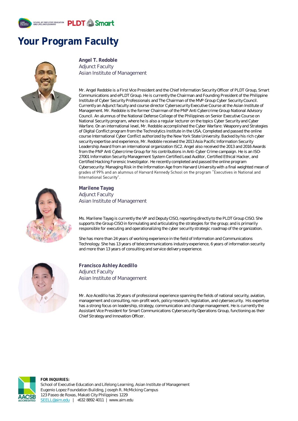

### **Your Program Faculty**



**Angel T. Redoble** Adjunct Faculty Asian Institute of Management

Mr. Angel Redoble is a First Vice President and the Chief Information Security Officer of PLDT Group, Smart Communications and ePLDT Group. He is currently the Chairman and Founding President of the Philippine Institute of Cyber Security Professionals and The Chairman of the MVP Group Cyber Security Council. Currently an Adjunct faculty and course director Cybersecurity Executive Course at the Asian Institute of Management. Mr. Redoble is the former Chairman of the PNP Anti Cybercrime Group National Advisory Council. An alumnus of the National Defense College of the Philippines on Senior Executive Course on National Security program, where he is also a regular lecturer on the topics Cyber Security and Cyber Warfare. On an international level, Mr. Redoble accomplished the Cyber Warfare: Weaponry and Strategies of Digital Conflict program from the Technolytics Institute in the USA, Completed and passed the online course International Cyber Conflict authorized by the New York State University. Backed by his rich cyber security expertise and experience, Mr. Redoble received the 2013 Asia Pacific Information Security Leadership Award from an international organization ISC2. Angel also received the 2013 and 2016 Awards from the PNP Anti Cybercrime Group for his contributions in Anti-Cyber Crime campaign. He is an ISO-27001 Information Security Management System Certified Lead Auditor, Certified Ethical Hacker, and Certified Hacking Forensic Investigator. He recently completed and passed the online program Cybersecurity: Managing Risk in the Information Age from Harvard University with a final weighted mean of grades of 99% and an alumnus of Harvard Kennedy School on the program "Executives in National and International Security".



**Marilene Tayag** Adjunct Faculty Asian Institute of Management

Ms. Marilene Tayag is currently the VP and Deputy CISO, reporting directly to the PLDT Group CISO. She supports the Group CISO in formulating and articulating the strategies for the group; and is primarily responsible for executing and operationalizing the cyber security strategic roadmap of the organization.

She has more than 24 years of working experience in the field of Information and Communications Technology. She has 13 years of telecommunications industry experience, 6 years of information security and more than 13 years of consulting and service delivery experience.



**Francisco Ashley Acedillo** Adjunct Faculty Asian Institute of Management

Mr. Ace Acedillo has 20 years of professional experience spanning the fields of national security, aviation, management and consulting, non-profit work, policy research, legislation, and cybersecurity. His expertise has a strong focus on leadership, strategy, communication and change management. He is currently the Assistant Vice President for Smart Communications Cybersecurity Operations Group, functioning as their Chief Strategy and Innovation Officer.



**FOR INQUIRIES:** School of Executive Education and Lifelong Learning, Asian Institute of Management Eugenio Lopez Foundation Building, Joseph R. McMicking Campus 123 Paseo de Roxas, Makati City Philippines 1229 [SEELL@aim.edu](mailto:SEELL@aim.edu) | +632 8892 4011 | www.aim.edu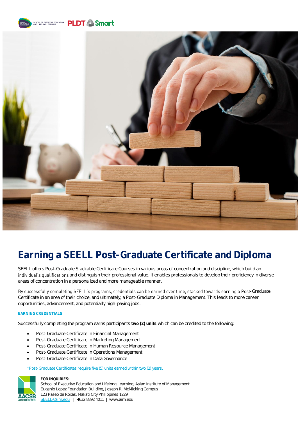



## **Earning a SEELL Post-Graduate Certificate and Diploma**

SEELL offers Post-Graduate Stackable Certificate Courses in various areas of concentration and discipline, which build an individual's qualifications and distinguish their professional value. It enables professionals to develop their proficiency in diverse areas of concentration in a personalized and more manageable manner.

By successfully completing SEELL's programs, credentials can be earned over time, stacked towards earning a Post-Graduate Certificate in an area of their choice, and ultimately, a Post-Graduate Diploma in Management. This leads to more career opportunities, advancement, and potentially high-paying jobs.

### **EARNING CREDENTIALS**

Successfully completing the program earns participants **two (2) units** which can be credited to the following:

- Post-Graduate Certificate in Financial Management
- Post-Graduate Certificate in Marketing Management
- Post-Graduate Certificate in Human Resource Management
- Post-Graduate Certificate in Operations Management
- Post-Graduate Certificate in Data Governance

\*Post-Graduate Certificates require five (5) units earned within two (2) years.



#### **FOR INQUIRIES:**

School of Executive Education and Lifelong Learning, Asian Institute of Management Eugenio Lopez Foundation Building, Joseph R. McMicking Campus 123 Paseo de Roxas, Makati City Philippines 1229 [SEELL@aim.edu](mailto:SEELL@aim.edu) | +632 8892 4011 | www.aim.edu